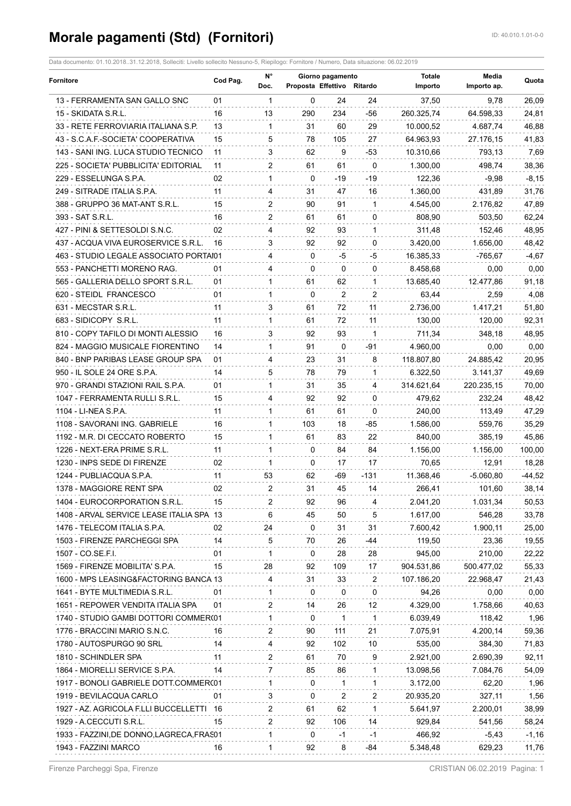## **Morale pagamenti (Std) (Fornitori)** ID: 40.010.1.01-0-0

| Fornitore                                 | Cod Pag. | N°<br>Doc.<br>$\overline{1}$ | Giorno pagamento<br>Proposta Effettivo Ritardo |                |              | <b>Totale</b><br>Importo | Media<br>Importo ap. | Quota    |
|-------------------------------------------|----------|------------------------------|------------------------------------------------|----------------|--------------|--------------------------|----------------------|----------|
| 13 - FERRAMENTA SAN GALLO SNC             | 01       |                              | 0                                              | 24             | 24           | 37,50                    | 9,78                 | 26,09    |
| 15 - SKIDATA S.R.L.                       | 16       | 13                           | 290                                            | 234            | -56          | 260.325,74               | 64.598,33            | 24,81    |
| 33 - RETE FERROVIARIA ITALIANA S.P.       | 13       | $\mathbf{1}$                 | 31                                             | 60             | 29           | 10.000,52                | 4.687,74             | 46,88    |
| 43 - S.C.A.F.-SOCIETA' COOPERATIVA        | 15       | 5                            | 78                                             | 105            | 27           | 64.963,93                | 27.176,15            | 41,83    |
| 143 - SANI ING. LUCA STUDIO TECNICO       | 11       | 3                            | 62                                             | 9              | -53          | 10.310,66                | 793,13               | 7,69     |
| 225 - SOCIETA' PUBBLICITA' EDITORIAL      | 11       | $\mathbf{2}$                 | 61                                             | 61             | $\Omega$     | 1.300,00                 | 498,74               | 38,36    |
| 229 - ESSELUNGA S.P.A.                    | 02       | $\mathbf{1}$                 | 0                                              | $-19$          | -19          | 122,36                   | $-9,98$              | $-8,15$  |
| 249 - SITRADE ITALIA S.P.A.               | 11       | 4                            | 31                                             | 47             | 16           | 1.360,00                 | 431,89               | 31,76    |
| 388 - GRUPPO 36 MAT-ANT S.R.L.            | 15       | 2                            | 90                                             | 91             | 1            | 4.545,00                 | 2.176,82             | 47,89    |
| 393 - SAT S.R.L.                          | 16       | 2                            | 61                                             | 61             | 0            | 808,90                   | 503,50               | 62,24    |
| 427 - PINI & SETTESOLDI S.N.C.            | 02       | 4                            | 92                                             | 93             | 1            | 311,48                   | 152,46               | 48,95    |
| 437 - ACQUA VIVA EUROSERVICE S.R.L.       | 16       | 3                            | 92                                             | 92             | 0            | 3.420,00                 | 1.656,00             | 48,42    |
| 463 - STUDIO LEGALE ASSOCIATO PORTAI01    |          | 4                            | 0                                              | -5             | -5           | 16.385,33                | -765,67              | $-4,67$  |
| 553 - PANCHETTI MORENO RAG.               | 01       | 4                            | 0                                              | 0              | 0            | 8.458,68                 | 0,00                 | 0,00     |
| 565 - GALLERIA DELLO SPORT S.R.L.         | 01       | $\mathbf{1}$                 | 61                                             | 62             | 1            | 13.685,40                | 12.477.86            | 91,18    |
| 620 - STEIDL FRANCESCO                    | 01       | $\mathbf{1}$                 | 0                                              | $\overline{2}$ | 2            | 63,44                    | 2,59                 | 4,08     |
| 631 - MECSTAR S.R.L.                      | 11       | 3                            | 61                                             | 72             | 11           | 2.736,00                 | 1.417,21             | 51,80    |
| 683 - SIDICOPY S.R.L.                     | 11       | $\mathbf{1}$                 | 61                                             | 72             | 11           | 130,00                   | 120,00               | 92,31    |
| 810 - COPY TAFILO DI MONTI ALESSIO        | 16       | 3                            | 92                                             | 93             | 1            | 711,34                   | 348,18               | 48,95    |
| 824 - MAGGIO MUSICALE FIORENTINO          | 14       | $\mathbf{1}$                 | 91                                             | 0              | -91          | 4.960,00                 | 0,00                 | 0,00     |
| 840 - BNP PARIBAS LEASE GROUP SPA         | 01       | 4                            | 23                                             | 31             | 8            | 118.807,80               | 24.885,42            | 20,95    |
| 950 - IL SOLE 24 ORE S.P.A.               | 14       | 5                            | 78                                             | 79             | $\mathbf{1}$ | 6.322,50                 | 3.141,37             | 49,69    |
| 970 - GRANDI STAZIONI RAIL S.P.A.         | 01       | $\mathbf{1}$                 | 31                                             | 35             | 4            | 314.621,64               | 220.235,15           | 70,00    |
| 1047 - FERRAMENTA RULLI S.R.L.            | 15       | 4                            | 92                                             | 92             | 0            | 479,62                   | 232,24               | 48,42    |
| 1104 - LI-NEA S.P.A.                      | 11       | $\mathbf{1}$                 | 61                                             | 61             | 0            | 240,00                   | 113,49               | 47,29    |
| 1108 - SAVORANI ING. GABRIELE             | 16       | 1                            | 103                                            | 18             | -85          | 1.586,00                 | 559,76               | 35,29    |
| 1192 - M.R. DI CECCATO ROBERTO            | 15       | $\mathbf{1}$                 | 61                                             | 83             | 22           | 840,00                   | 385,19               | 45,86    |
| 1226 - NEXT-ERA PRIME S.R.L.              | 11       | $\mathbf{1}$                 | 0                                              | 84             | 84           | 1.156,00                 | 1.156,00             | 100,00   |
| 1230 - INPS SEDE DI FIRENZE               | 02       | -1                           | 0                                              | 17             | 17           | 70,65                    | 12,91                | 18,28    |
| 1244 - PUBLIACQUA S.P.A.                  | 11       | 53                           | 62                                             | -69            | -131         | 11.368,46                | $-5.060.80$          | $-44,52$ |
|                                           | 02       | $\overline{2}$               | 31                                             | 45             |              |                          |                      |          |
| 1378 - MAGGIORE RENT SPA                  | 15       |                              |                                                |                | 14           | 266,41                   | 101,60               | 38,14    |
| 1404 - EUROCORPORATION S.R.L.             |          |                              | 92                                             | 96             |              | 2.041,20                 | 1.031,34             | 50,53    |
| 1408 - ARVAL SERVICE LEASE ITALIA SPA 13  |          | 6                            | 45                                             | 50             | 5            | 1.617,00                 | 546,28               | 33,78    |
| 1476 - TELECOM ITALIA S.P.A.              | 02       | 24                           | 0                                              | 31             | 31           | 7.600,42                 | 1.900,11             | 25,00    |
| 1503 - FIRENZE PARCHEGGI SPA              | 14       | 5                            | 70                                             | 26             | -44          | 119,50                   | 23,36                | 19,55    |
| 1507 - CO.SE.F.I.                         | 01       | $\mathbf{1}$                 | 0                                              | 28             | 28           | 945,00                   | 210,00               | 22,22    |
| 1569 - FIRENZE MOBILITA' S.P.A.           | 15       | 28                           | 92                                             | 109            | 17           | 904.531,86               | 500.477,02           | 55,33    |
| 1600 - MPS LEASING&FACTORING BANCA 13     |          | 4                            | 31                                             | 33             | 2            | 107.186,20               | 22.968,47            | 21,43    |
| 1641 - BYTE MULTIMEDIA S.R.L.             | 01       | $\mathbf{1}$                 | 0                                              | $\mathbf{0}$   | 0            | 94,26                    | 0,00                 | 0,00     |
| 1651 - REPOWER VENDITA ITALIA SPA         | 01       | 2                            | 14                                             | 26             | 12           | 4.329,00                 | 1.758,66             | 40,63    |
| 1740 - STUDIO GAMBI DOTTORI COMMER(01     |          | $\mathbf{1}$                 | 0                                              | 1              | 1            | 6.039,49                 | 118,42               | 1,96     |
| 1776 - BRACCINI MARIO S.N.C.              | 16       | 2                            | 90                                             | 111            | 21           | 7.075,91                 | 4.200,14             | 59,36    |
| 1780 - AUTOSPURGO 90 SRL                  | 14       | 4                            | 92                                             | 102            | 10           | 535,00                   | 384,30               | 71,83    |
| 1810 - SCHINDLER SPA                      | 11       | 2                            | 61                                             | 70             | 9            | 2.921,00                 | 2.690,39             | 92,11    |
| 1864 - MIORELLI SERVICE S.P.A.            | 14       | 7                            | 85                                             | 86             | 1            | 13.098,56                | 7.084,76             | 54,09    |
| 1917 - BONOLI GABRIELE DOTT.COMMER(01     |          | 1                            | 0                                              | 1              | 1            | 3.172,00                 | 62,20                | 1,96     |
| 1919 - BEVILACQUA CARLO                   | 01       | 3                            | 0                                              | 2              | 2            | 20.935,20                | 327,11               | 1,56     |
| 1927 - AZ. AGRICOLA F.LLI BUCCELLETTI 16  |          | 2                            | 61                                             | 62             | 1            | 5.641,97                 | 2.200,01             | 38,99    |
| 1929 - A.CECCUTI S.R.L.                   | 15       | 2                            | 92                                             | 106            | 14           | 929,84                   | 541,56               | 58,24    |
| 1933 - FAZZINI, DE DONNO, LAGRECA, FRAS01 |          | 1                            | 0                                              | -1             | -1           | 466,92                   | $-5,43$              | $-1,16$  |
| 1943 - FAZZINI MARCO                      | 16       | $\mathbf{1}$                 | 92                                             | 8              | -84          | 5.348,48                 | 629,23               | 11,76    |

Data documento: 01.10.2018..31.12.2018, Solleciti: Livello sollecito Nessuno-5, Riepilogo: Fornitore / Numero, Data situazione: 06.02.2019

Firenze Parcheggi Spa, Firenze CRISTIAN 06.02.2019 Pagina: 1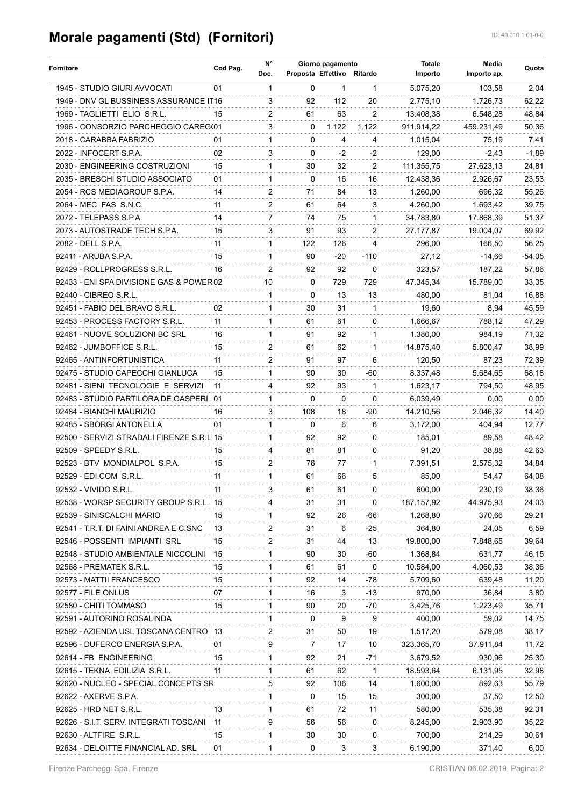## **Morale pagamenti (Std) (Fornitori)** ID: 40.010.1.01-0-0

| Fornitore                                        | Cod Pag. | N°                   | Giorno pagamento<br>Proposta Effettivo Ritardo |              |                         | <b>Totale</b> | Media       | Quota    |
|--------------------------------------------------|----------|----------------------|------------------------------------------------|--------------|-------------------------|---------------|-------------|----------|
|                                                  |          | Doc.                 |                                                |              |                         | Importo       | Importo ap. |          |
| 1945 - STUDIO GIURI AVVOCATI                     | 01       | $\mathbf{1}$         | $\Omega$                                       | $\mathbf{1}$ | $\overline{1}$          | 5.075,20      | 103,58      | 2,04     |
| 1949 - DNV GL BUSSINESS ASSURANCE IT16           |          | 3                    | 92                                             | 112          | 20                      | 2.775,10      | 1.726,73    | 62,22    |
| 1969 - TAGLIETTI ELIO S.R.L.                     | 15       | $\mathbf{2}^{\circ}$ | 61                                             | 63           | $\overline{2}$          | 13.408,38     | 6.548,28    | 48,84    |
| 1996 - CONSORZIO PARCHEGGIO CAREG(01             |          | 3                    | $\Omega$                                       | 1.122        | 1.122                   | 911.914,22    | 459.231,49  | 50,36    |
| 2018 - CARABBA FABRIZIO                          | 01       | $\mathbf{1}$         | $\Omega$                                       | 4            | 4                       | 1.015,04      | 75,19       | 7,41     |
| 2022 - INFOCERT S.P.A.                           | 02       | 3                    | $\Omega$                                       | $-2$         | -2                      | 129,00        | $-2,43$     | $-1,89$  |
| 2030 - ENGINEERING COSTRUZIONI                   | 15       | 1                    | 30                                             | 32           | 2                       | 111.355.75    | 27.623,13   | 24,81    |
| 2035 - BRESCHI STUDIO ASSOCIATO                  | 01       | $\mathbf{1}$         | $\Omega$                                       | 16           | 16                      | 12.438,36     | 2.926,67    | 23,53    |
| 2054 - RCS MEDIAGROUP S.P.A.                     | 14       | 2                    | 71                                             | 84           | 13                      | 1.260,00      | 696,32      | 55,26    |
| 2064 - MEC FAS S.N.C.                            | 11       | 2                    | 61                                             | 64           | 3                       | 4.260,00      | 1.693,42    | 39,75    |
| 2072 - TELEPASS S.P.A.                           | 14       | $7^{\circ}$          | 74                                             | 75           | $\mathbf{1}$            | 34.783,80     | 17.868,39   | 51,37    |
| 2073 - AUTOSTRADE TECH S.P.A.                    | 15       | 3                    | 91                                             | 93           | 2                       | 27.177,87     | 19.004,07   | 69,92    |
| 2082 - DELL S.P.A.                               | 11       | $\mathbf{1}$         | 122                                            | 126          | 4                       | 296,00        | 166,50      | 56,25    |
| 92411 - ARUBA S.P.A.                             | 15       | $\mathbf 1$          | 90                                             | $-20$        | $-110$                  | 27,12         | -14,66      | $-54,05$ |
| 92429 - ROLLPROGRESS S.R.L.                      | 16       | $\mathbf{2}^{\circ}$ | 92                                             | 92           | $\mathbf{0}$            | 323,57        | 187,22      | 57,86    |
| 92433 - ENI SPA DIVISIONE GAS & POWER 02         |          | 10                   | $\Omega$                                       | 729          | 729                     | 47.345,34     | 15.789,00   | 33,35    |
| 92440 - CIBREO S.R.L.                            |          | $\mathbf{1}$         | $\Omega$                                       | 13           | 13                      | 480,00        | 81,04       | 16,88    |
| 92451 - FABIO DEL BRAVO S.R.L.                   | 02       | $\mathbf{1}$         | 30                                             | 31           | -1                      | 19,60         | 8.94        | 45,59    |
| 92453 - PROCESS FACTORY S.R.L.                   | 11       | $\mathbf{1}$         | 61                                             | 61           | $\Omega$                | 1.666,67      | 788,12      | 47,29    |
| 92461 - NUOVE SOLUZIONI BC SRL                   | 16       | $\mathbf{1}$         | 91                                             | 92           | $\mathbf{1}$            | 1.380,00      | 984,19      | 71,32    |
| 92462 - JUMBOFFICE S.R.L.                        | 15       | 2                    | 61                                             | 62           | 1                       | 14.875,40     | 5.800,47    | 38,99    |
| 92465 - ANTINFORTUNISTICA                        | 11       | 2                    | 91                                             | 97           | 6                       | 120,50        | 87,23       | 72,39    |
| 92475 - STUDIO CAPECCHI GIANLUCA                 | 15       | $\mathbf 1$          | 90                                             | 30           | -60                     | 8.337,48      | 5.684,65    | 68,18    |
| 92481 - SIENI TECNOLOGIE E SERVIZI               | -11      | 4                    | 92                                             | 93           | $\mathbf{1}$            | 1.623,17      | 794,50      | 48,95    |
| 92483 - STUDIO PARTILORA DE GASPERI 01           |          | $\mathbf{1}$         | $\Omega$                                       | $\Omega$     | $\Omega$                |               |             | 0,00     |
|                                                  |          |                      |                                                |              |                         | 6.039,49      | 0,00        |          |
| 92484 - BIANCHI MAURIZIO                         | 16       | 3                    | 108                                            | 18           | -90                     | 14.210,56     | 2.046,32    | 14,40    |
| 92485 - SBORGI ANTONELLA                         | 01       | $\mathbf 1$          | $\mathbf{0}$                                   | 6            | 6                       | 3.172,00      | 404,94      | 12,77    |
| 92500 - SERVIZI STRADALI FIRENZE S.R.L 15        |          | $\mathbf{1}$         | 92                                             | 92           | $\Omega$                | 185,01        | 89,58       | 48,42    |
| 92509 - SPEEDY S.R.L.                            | 15       | 4                    | 81                                             | 81           | 0                       | 91,20         | 38,88       | 42,63    |
| 92523 - BTV MONDIALPOL S.P.A.                    | 15       | 2                    | 76                                             | 77           | 1                       | 7.391.51      | 2.575,32    | 34,84    |
| 92529 - EDI.COM S.R.L.                           | 11       | $\mathbf{1}$         | 61                                             | 66           | 5                       | 85,00         | 54,47       | 64,08    |
| 92532 - VIVIDO S.R.L.                            | 11       |                      | 61                                             | 61           | $\Omega$                | 600,00        | 230,19      | 38,36    |
| 92538 - WORSP SECURITY GROUP S.R.L. 15           |          |                      | 31                                             | 31           | $\mathbf{0}$            | 187.157,92    | 44.975,93   | 24,03    |
| 92539 - SINISCALCHI MARIO                        | 15       | $\mathbf{1}$         | 92                                             | 26           | -66                     | 1.268,80      | 370,66      | 29,21    |
| 92541 - T.R.T. DI FAINI ANDREA E C.SNC 13        |          | 2                    | 31                                             | 6            | $-25$                   | 364,80        | 24,05       | 6,59     |
| 92546 - POSSENTI IMPIANTI SRL                    | 15       | 2                    | 31                                             | 44           | 13                      | 19.800,00     | 7.848,65    | 39,64    |
| 92548 - STUDIO AMBIENTALE NICCOLINI 15           |          | $\mathbf{1}$         | 90                                             | 30           | -60                     | 1.368,84      | 631,77      | 46,15    |
| 92568 - PREMATEK S.R.L.                          | 15       | $\mathbf{1}$         | 61                                             | 61           | $\overline{\mathbf{0}}$ | 10.584,00     | 4.060,53    | 38,36    |
| 92573 - MATTII FRANCESCO                         | 15       | $\mathbf{1}$         | 92                                             | 14           | -78                     | 5.709,60      | 639,48      | 11,20    |
| 92577 - FILE ONLUS                               | 07       | 1                    | 16                                             | 3            | $-13$                   | 970,00        | 36,84       | 3,80     |
| 92580 - CHITI TOMMASO                            | 15       | $\mathbf{1}$         | 90                                             | 20           | -70                     | 3.425,76      | 1.223,49    | 35,71    |
| 92591 - AUTORINO ROSALINDA                       |          | $\mathbf{1}$         | $\Omega$                                       | 9            | 9                       | 400,00        | 59,02       | 14,75    |
| 92592 - AZIENDA USL TOSCANA CENTRO 13            |          | 2                    | 31                                             | 50           | 19                      | 1.517,20      | 579,08      | 38,17    |
| 92596 - DUFERCO ENERGIA S.P.A.                   | 01       | 9                    | $\overline{7}$                                 | 17           | 10                      | 323.365,70    | 37.911,84   | 11,72    |
| 92614 - FB ENGINEERING                           | 15       | $\mathbf{1}$         | 92                                             | 21           | -71                     | 3.679,52      | 930,96      | 25,30    |
| 92615 - TEKNA EDILIZIA S.R.L.<br>$\overline{11}$ |          | 1                    | 61                                             | 62           | $\overline{1}$          | 18.593,64     | 6.131,95    | 32,98    |
| 92620 - NUCLEO - SPECIAL CONCEPTS SR             |          | 5                    | 92                                             | 106          | 14                      | 1.600,00      | 892,63      | 55,79    |
| 92622 - AXERVE S.P.A.                            |          | $\mathbf{1}$         | $\Omega$                                       | 15           | 15                      | 300,00        | 37,50       | 12,50    |
| 92625 - HRD NET S.R.L.                           | 13       | $\mathbf{1}$         | 61                                             | 72           | 11                      | 580,00        | 535,38      | 92,31    |
| 92626 - S.I.T. SERV. INTEGRATI TOSCANI 11        |          | 9                    | 56                                             | 56           | $\mathbf 0$             | 8.245,00      | 2.903,90    | 35,22    |
| 92630 - ALTFIRE S.R.L.                           | 15       | $\mathbf{1}$         | 30                                             | 30           | $\mathbf 0$             | 700,00        | 214,29      | 30,61    |
|                                                  | 01       | $\mathbf{1}$         | $\Omega$                                       | 3            | 3                       |               |             |          |
| 92634 - DELOITTE FINANCIAL AD. SRL               |          |                      |                                                |              |                         | 6.190,00      | 371,40      | 6,00     |